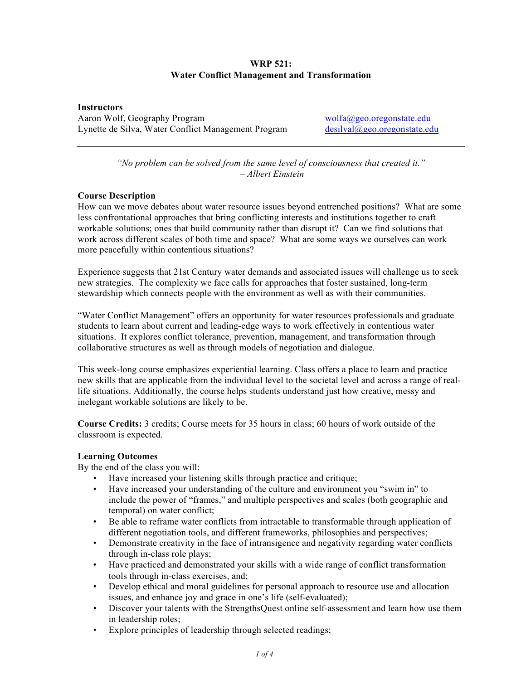### **WRP 521: Water Conflict Management and Transformation**

**Instructors** Aaron Wolf, Geography Program wolfa@geo.oregonstate.edu Lynette de Silva, Water Conflict Management Program desilval@geo.oregonstate.edu

*"No problem can be solved from the same level of consciousness that created it." – Albert Einstein*

### **Course Description**

How can we move debates about water resource issues beyond entrenched positions? What are some less confrontational approaches that bring conflicting interests and institutions together to craft workable solutions; ones that build community rather than disrupt it? Can we find solutions that work across different scales of both time and space? What are some ways we ourselves can work more peacefully within contentious situations?

Experience suggests that 21st Century water demands and associated issues will challenge us to seek new strategies. The complexity we face calls for approaches that foster sustained, long-term stewardship which connects people with the environment as well as with their communities.

"Water Conflict Management" offers an opportunity for water resources professionals and graduate students to learn about current and leading-edge ways to work effectively in contentious water situations. It explores conflict tolerance, prevention, management, and transformation through collaborative structures as well as through models of negotiation and dialogue.

This week-long course emphasizes experiential learning. Class offers a place to learn and practice new skills that are applicable from the individual level to the societal level and across a range of reallife situations. Additionally, the course helps students understand just how creative, messy and inelegant workable solutions are likely to be.

**Course Credits:** 3 credits; Course meets for 35 hours in class; 60 hours of work outside of the classroom is expected.

### **Learning Outcomes**

By the end of the class you will:

- Have increased your listening skills through practice and critique;
- Have increased your understanding of the culture and environment you "swim in" to include the power of "frames," and multiple perspectives and scales (both geographic and temporal) on water conflict;
- Be able to reframe water conflicts from intractable to transformable through application of different negotiation tools, and different frameworks, philosophies and perspectives;
- Demonstrate creativity in the face of intransigence and negativity regarding water conflicts through in-class role plays;
- Have practiced and demonstrated your skills with a wide range of conflict transformation tools through in-class exercises, and;
- Develop ethical and moral guidelines for personal approach to resource use and allocation issues, and enhance joy and grace in one's life (self-evaluated);
- Discover your talents with the StrengthsQuest online self-assessment and learn how use them in leadership roles;
- Explore principles of leadership through selected readings;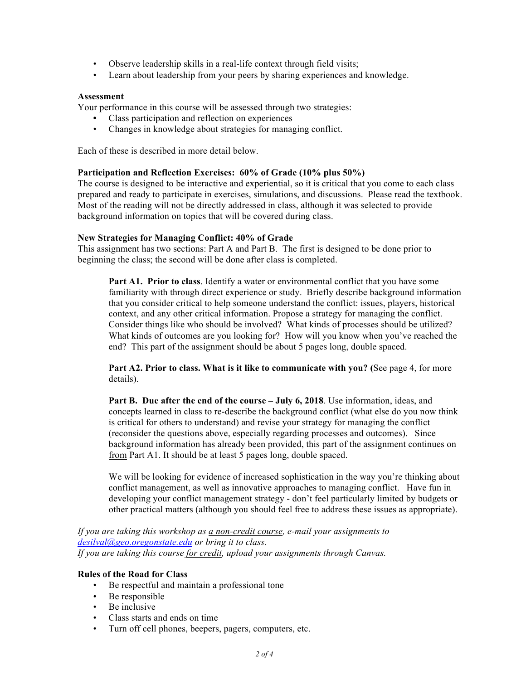- Observe leadership skills in a real-life context through field visits;
- Learn about leadership from your peers by sharing experiences and knowledge.

#### **Assessment**

Your performance in this course will be assessed through two strategies:

- **•** Class participation and reflection on experiences
- Changes in knowledge about strategies for managing conflict.

Each of these is described in more detail below.

#### **Participation and Reflection Exercises: 60% of Grade (10% plus 50%)**

The course is designed to be interactive and experiential, so it is critical that you come to each class prepared and ready to participate in exercises, simulations, and discussions. Please read the textbook. Most of the reading will not be directly addressed in class, although it was selected to provide background information on topics that will be covered during class.

#### **New Strategies for Managing Conflict: 40% of Grade**

This assignment has two sections: Part A and Part B. The first is designed to be done prior to beginning the class; the second will be done after class is completed.

**Part A1. Prior to class**. Identify a water or environmental conflict that you have some familiarity with through direct experience or study. Briefly describe background information that you consider critical to help someone understand the conflict: issues, players, historical context, and any other critical information. Propose a strategy for managing the conflict. Consider things like who should be involved? What kinds of processes should be utilized? What kinds of outcomes are you looking for? How will you know when you've reached the end? This part of the assignment should be about 5 pages long, double spaced.

**Part A2. Prior to class. What is it like to communicate with you? (**See page 4, for more details).

**Part B. Due after the end of the course – July 6, 2018**. Use information, ideas, and concepts learned in class to re-describe the background conflict (what else do you now think is critical for others to understand) and revise your strategy for managing the conflict (reconsider the questions above, especially regarding processes and outcomes). Since background information has already been provided, this part of the assignment continues on from Part A1. It should be at least 5 pages long, double spaced.

We will be looking for evidence of increased sophistication in the way you're thinking about conflict management, as well as innovative approaches to managing conflict. Have fun in developing your conflict management strategy - don't feel particularly limited by budgets or other practical matters (although you should feel free to address these issues as appropriate).

*If you are taking this workshop as a non-credit course, e-mail your assignments to desilval@geo.oregonstate.edu or bring it to class. If you are taking this course for credit, upload your assignments through Canvas.*

#### **Rules of the Road for Class**

- Be respectful and maintain a professional tone
- Be responsible
- Be inclusive
- Class starts and ends on time
- Turn off cell phones, beepers, pagers, computers, etc.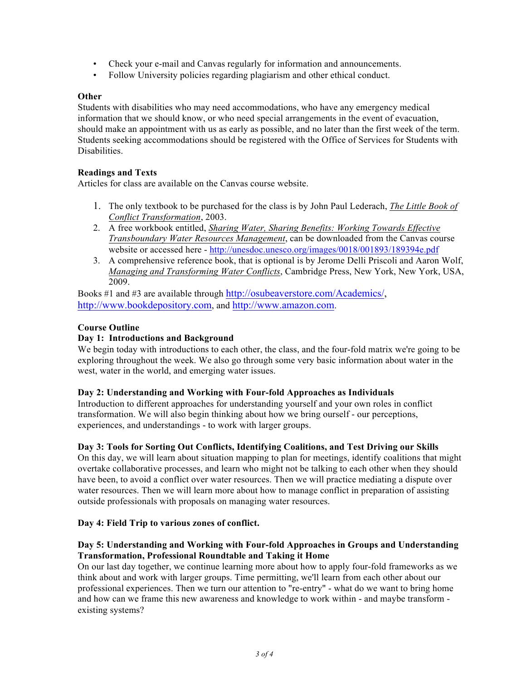- Check your e-mail and Canvas regularly for information and announcements.
- Follow University policies regarding plagiarism and other ethical conduct.

### **Other**

Students with disabilities who may need accommodations, who have any emergency medical information that we should know, or who need special arrangements in the event of evacuation, should make an appointment with us as early as possible, and no later than the first week of the term. Students seeking accommodations should be registered with the Office of Services for Students with Disabilities.

### **Readings and Texts**

Articles for class are available on the Canvas course website.

- 1. The only textbook to be purchased for the class is by John Paul Lederach, *The Little Book of Conflict Transformation*, 2003.
- 2. A free workbook entitled, *Sharing Water, Sharing Benefits: Working Towards Effective Transboundary Water Resources Management*, can be downloaded from the Canvas course website or accessed here - http://unesdoc.unesco.org/images/0018/001893/189394e.pdf
- 3. A comprehensive reference book, that is optional is by Jerome Delli Priscoli and Aaron Wolf, *Managing and Transforming Water Conflicts*, Cambridge Press, New York, New York, USA, 2009.

Books #1 and #3 are available through http://osubeaverstore.com/Academics/, http://www.bookdepository.com, and http://www.amazon.com.

### **Course Outline**

## **Day 1: Introductions and Background**

We begin today with introductions to each other, the class, and the four-fold matrix we're going to be exploring throughout the week. We also go through some very basic information about water in the west, water in the world, and emerging water issues.

### **Day 2: Understanding and Working with Four-fold Approaches as Individuals**

Introduction to different approaches for understanding yourself and your own roles in conflict transformation. We will also begin thinking about how we bring ourself - our perceptions, experiences, and understandings - to work with larger groups.

### **Day 3: Tools for Sorting Out Conflicts, Identifying Coalitions, and Test Driving our Skills**

On this day, we will learn about situation mapping to plan for meetings, identify coalitions that might overtake collaborative processes, and learn who might not be talking to each other when they should have been, to avoid a conflict over water resources. Then we will practice mediating a dispute over water resources. Then we will learn more about how to manage conflict in preparation of assisting outside professionals with proposals on managing water resources.

### **Day 4: Field Trip to various zones of conflict.**

### **Day 5: Understanding and Working with Four-fold Approaches in Groups and Understanding Transformation, Professional Roundtable and Taking it Home**

On our last day together, we continue learning more about how to apply four-fold frameworks as we think about and work with larger groups. Time permitting, we'll learn from each other about our professional experiences. Then we turn our attention to "re-entry" - what do we want to bring home and how can we frame this new awareness and knowledge to work within - and maybe transform existing systems?